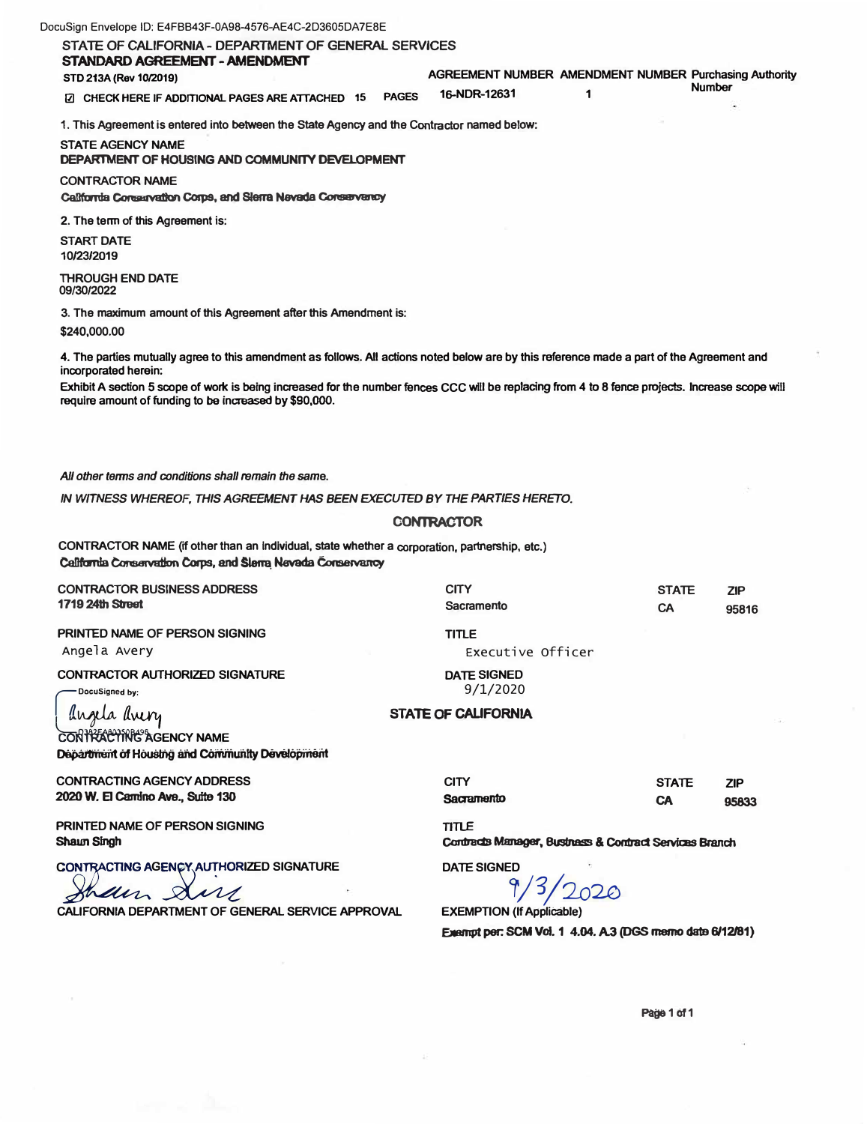| DocuSign Envelope ID: E4FBB43F-0A98-4576-AE4C-2D3605DA7E8E |  |  |
|------------------------------------------------------------|--|--|
|------------------------------------------------------------|--|--|

**STATE OF CALIFORNIA- DEPARTMENT OF GENERAL SERVICES STANDARD AGREEMENT -AMENDMENT** 

**STD 213A (Rev 10/2019) AGREEMENT NUMBER AMENDMENT NUMBER Purchasing Authority** 

**Number** 

**@ CHECK HERE 16-NDR-12631 1 IF ADDffiONAL PAGES ARE ATTACHED 15 PAGES** 

**1. This Agreement is entered into between the State Agency and the Contractor named below:**

**STATE AGENCY NAME DEPARTMENT OF HOUSING AND COMMUNITY DEVELOPMENT** 

**CONTRACTOR NAME**  California Conservation Corps, and Sierra Nevada Conservancy

**2. The tenn of this Agreement is:**

**START DATE 10/23/2019** 

**THROUGH END DATE 09/30/2022** 

**3. The maximum amount of this Agreement after this Amendment is: \$240,000.00**

**4. The parties mutually agree to this amendment as follows. All actions noted below are by this reference made a part of the Agreement and incorporated herein:**

Exhibit A section 5 scope of work is being increased for the number fences CCC will be replacing from 4 to 8 fence projects. Increase scope will require amount of funding to be increased by \$90,000.

*All other terms and conditions shall remain the* **same.** 

*IN WITNESS WHEREOF, THIS AGREEMENT HAS BEEN EXECUTED BY THE PARTIES HERETO.* 

#### **CONTRACTOR**

**CON1RACTOR NAME (if other than an Individual, state whether a corporation, partnership, etc.) Cal1fomla Consetvat1on Corps, anc:t Nevada Conservancy** 

| <b>CONTRACTOR BUSINESS ADDRESS</b><br><b>1719 24th Street</b>                                         | <b>CITY</b><br>Sacramento                                              | <b>STATE</b><br>CA        | <b>ZIP</b><br>95816 |
|-------------------------------------------------------------------------------------------------------|------------------------------------------------------------------------|---------------------------|---------------------|
| PRINTED NAME OF PERSON SIGNING<br>Angela Avery                                                        | <b>TITLE</b><br>Executive Officer                                      |                           |                     |
| <b>CONTRACTOR AUTHORIZED SIGNATURE</b><br>DocuSigned by:                                              | <b>DATE SIGNED</b><br>9/1/2020                                         |                           |                     |
| angela avery<br>CONTRACTING AGENCY NAME<br>Department of Housing and Community Development            | STATE OF CALIFORNIA                                                    |                           |                     |
| <b>CONTRACTING AGENCY ADDRESS</b><br>2020 W. El Carrino Ave., Suite 130                               | <b>CITY</b><br>Sacramento                                              | <b>STATE</b><br><b>CA</b> | <b>ZIP</b><br>95833 |
| PRINTED NAME OF PERSON SIGNING<br>Shawn Singh                                                         | <b>TITLE</b><br>Contracts Manager, Bustness & Contract Services Branch |                           |                     |
| CONTRACTING AGENCY AUTHORIZED SIGNATURE<br>them,<br>CALIFORNIA DEPARTMENT OF GENERAL SERVICE APPROVAL | <b>DATE SIGNED</b><br><b>EXEMPTION (If Applicable)</b>                 |                           |                     |
|                                                                                                       |                                                                        |                           |                     |

**Exempt per: SCM Vol. 1 4.04. A.3 (DGS memo date 6/12/81)** 

**Page 1 of1**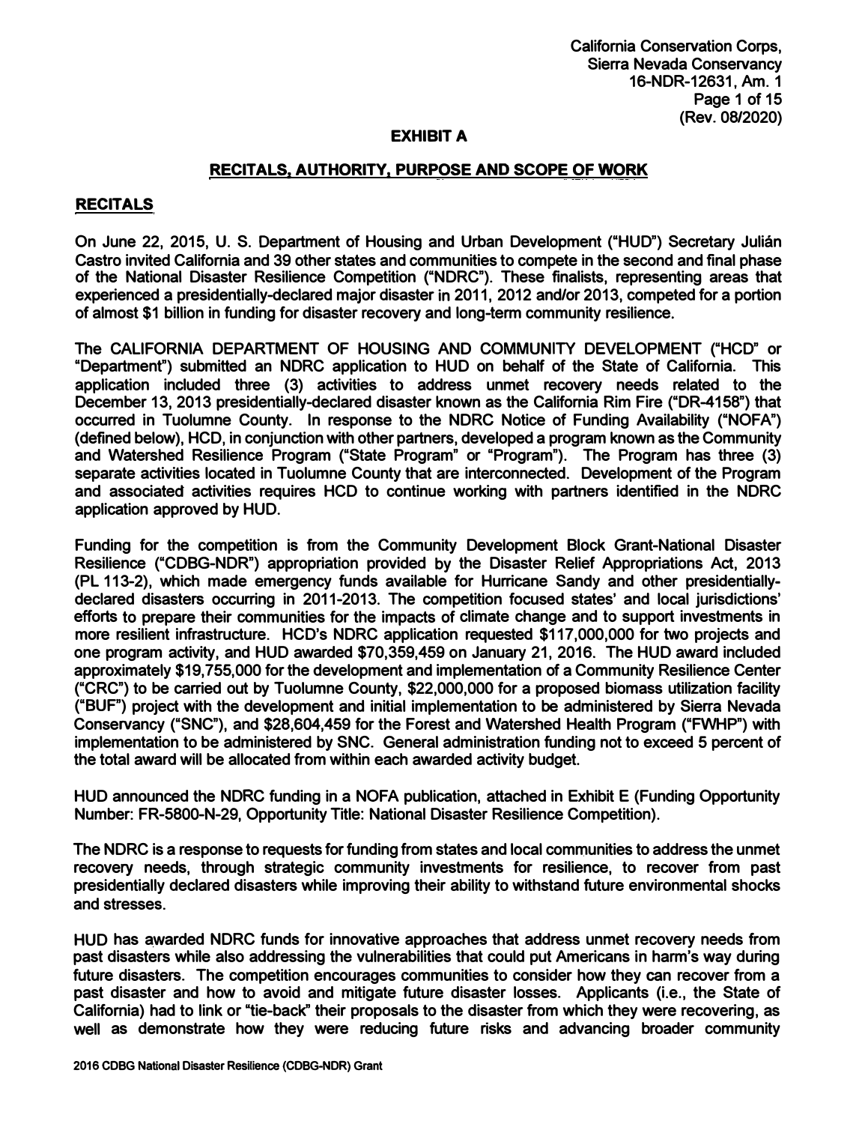**California Conservation Corps, Sierra Nevada Conservancy 16-NDR-12631, Am. 1 Page 1 of 15 (Rev. 08/2020)** 

#### **EXHIBIT A**

### **RECITALS, AUTHORITY, PURPOSE AND SCOPE OF WORK**

### **RECITALS**

**On June 22, 2015, U. S. Department of Housing and Urban Development ("HUD") Secretary Julian Castro invited California and 39 other states and communities to compete in the second and final phase of the National Disaster Resilience Competition ("NDRC"). These finalists, representing areas that experienced a presidentially-declared major disaster in 2011, 2012 and/or 2013, competed for a portion of almost \$1 billion in funding for disaster recovery and long-term community resilience.** 

**The CALIFORNIA DEPARTMENT OF HOUSING AND COMMUNITY DEVELOPMENT ("HCD" or "Department") submitted an NDRC application to HUD on behalf of the State of California. This application included three (3) activities to address unmet recovery needs related to the December 13, 2013 presidentially-declared disaster known as the California Rim Fire ("DR-4158") that occurred in Tuolumne County. In response to the NDRC Notice of Funding Availability ("NOFA") (defined below), HCD**1 **in conjunction with other partners, developed a program known as the Community and Watershed Resilience Program ("State Program" or "Program"). The Program has three (3) separate activities located in Tuolumne County that are interconnected. Development of the Program and associated activities requires HCD to continue working with partners identified in the NDRC application approved by HUD.** 

**Funding for the competition is from the Community Development Block Grant-National Disaster Resilience ("CDBG-NDR") appropriation provided by the Disaster Relief Appropriations Act, 2013 (PL 113-2), which made emergency funds available for Hurricane Sandy and other presidentiallydeclared disasters occurring in 2011-2013. The competition focused states' and local jurisdictions' efforts to prepare their communities for the impacts of climate change and to support investments in more resilient infrastructure. HCD's NDRC application requested \$117,000,000 for two projects and one program activity, and HUD awarded \$70,359,459 on January 21, 2016. The HUD award included approximately \$19,755,000 for the development and implementation of a Community Resilience Center ("CRC") to be carried out by Tuolumne County, \$22,000,000 for a proposed biomass utilization facility ("BUF") project with the development and initial implementation to be administered by Sierra Nevada Conservancy ("SNC"), and \$28,604,459 for the Forest and Watershed Health Program ("FWHP") with implementation to be administered by SNC. General administration funding not to exceed 5 percent of the total award will be allocated from within each awarded activity budget.** 

**HUD announced the NDRC funding in a NOFA publication, attached in Exhibit E (Funding Opportunity Number: FR-5800-N-29, Opportunity Title: National Disaster Resilience Competition).** 

**The NDRC is a response to requests for funding from states and local communities to address the unmet recovery needs, through strategic community investments for resilience, to recover from past presidentially declared disasters while improving their ability to withstand future environmental shocks and stresses.** 

**HUD has awarded NDRC funds for innovative approaches that address unmet recovery needs from past disasters while also addressing the vulnerabilities that could put Americans in harm's way during future disasters. The competition encourages communities to consider how they can recover from a past disaster and how to avoid and mitigate future disaster losses. Applicants (i.e., the State of California) had to link or "tie-back" their proposals to the disaster from which they were recovering, as well as demonstrate how they were reducing future risks and advancing broader community**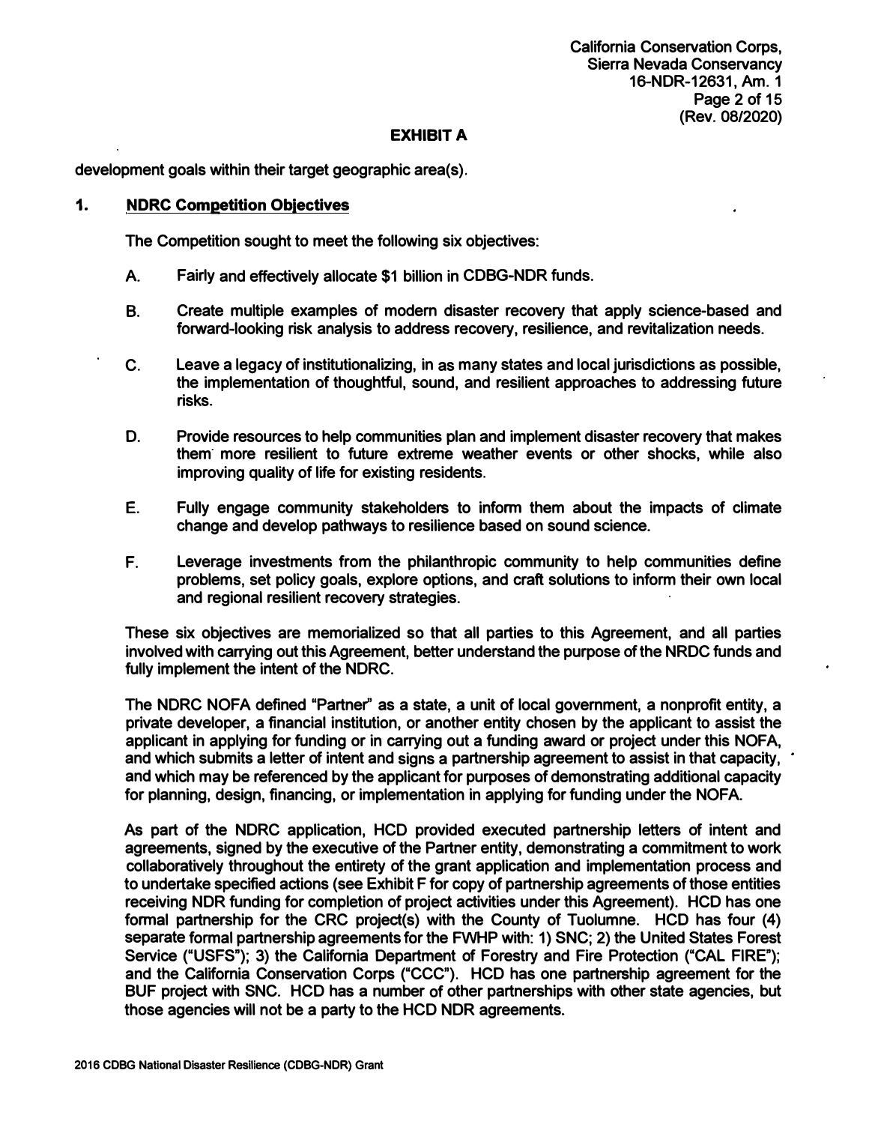**California Conservation Corps, Sierra Nevada Conservancy 16-NDR-12631, Am. 1 Page 2 of 15 (Rev. 08/2020)** 

### **EXHIBIT A**

**development goals within their target geographic area(s).** 

### **1. NDRC Competition Obiectives**

**The Competition sought to meet the following six objectives:** 

- **A. Fairly and effedively allocate \$1 billion in CDBG-NDR funds.**
- **8. Create multiple examples of modern disaster recovery that apply science-based and forward-looking risk analysis to address recovery, resilience, and revitalization needs.**
- C. Leave a legacy of institutionalizing, in as many states and local jurisdictions as possible, **the implementation of thoughtful, sound, and resilient approaches to addressing future risks.**
- **D. Provide resources to help communities plan and implement disaster recovery that makes them· more resilient to future extreme weather events or other shocks, while also improving quality of life for existing residents.**
- **E. Fully engage community stakeholders to inform them about the impacts of climate change and develop pathways to resilience based on sound science.**
- **F. Leverage investments from the philanthropic community to help communities define problems, set policy goals, explore options, and craft solutions to inform their own local and regional resilient recovery strategies.**

**These six objectives are memorialized so that all parties to this Agreement, and all parties involved with carrying out this Agreement, better understand the purpose of the NRDC funds and fully implement the intent of the NDRC.** 

**The NDRC NOFA defined "Partner" as a state, a unit of local government, a nonprofit entity, a private developer, a financial institution, or another entity chosen by the applicant to assist the applicant in applying for funding or in carrying out a funding award or project under this NOFA, and which submits a letter of intent and signs a partnership agreement to assist in that capacity, and which may be referenced by the applicant for purposes of demonstrating additional capacity for planning, design, financing, or implementation in applying for funding under the NOFA.** 

**As part of the NDRC application, HCD provided executed partnership letters of intent and agreements, signed by the executive of the Partner entity, demonstrating a commitment to work collaboratively throughout the entirety of the grant application and implementation process and to undertake specified actions (see Exhibit F for copy of partnership agreements of those entities receiving NDR funding for completion of project adivities under this Agreement). HCD has one**  formal partnership for the CRC project(s) with the County of Tuolumne. HCD has four (4) **separate formal partnership agreements for the FWHP with: 1) SNC; 2) the United States Forest Service ("USFS"); 3) the California Department of Forestry and Fire Protection ("CAL FIRE"); and the California Conservation Corps ("CCC"). HCD has one partnership agreement for the BUF projed with SNC. HCD has a number of other partnerships with other state agencies, but those agencies will not be a party to the HCD NOR agreements.**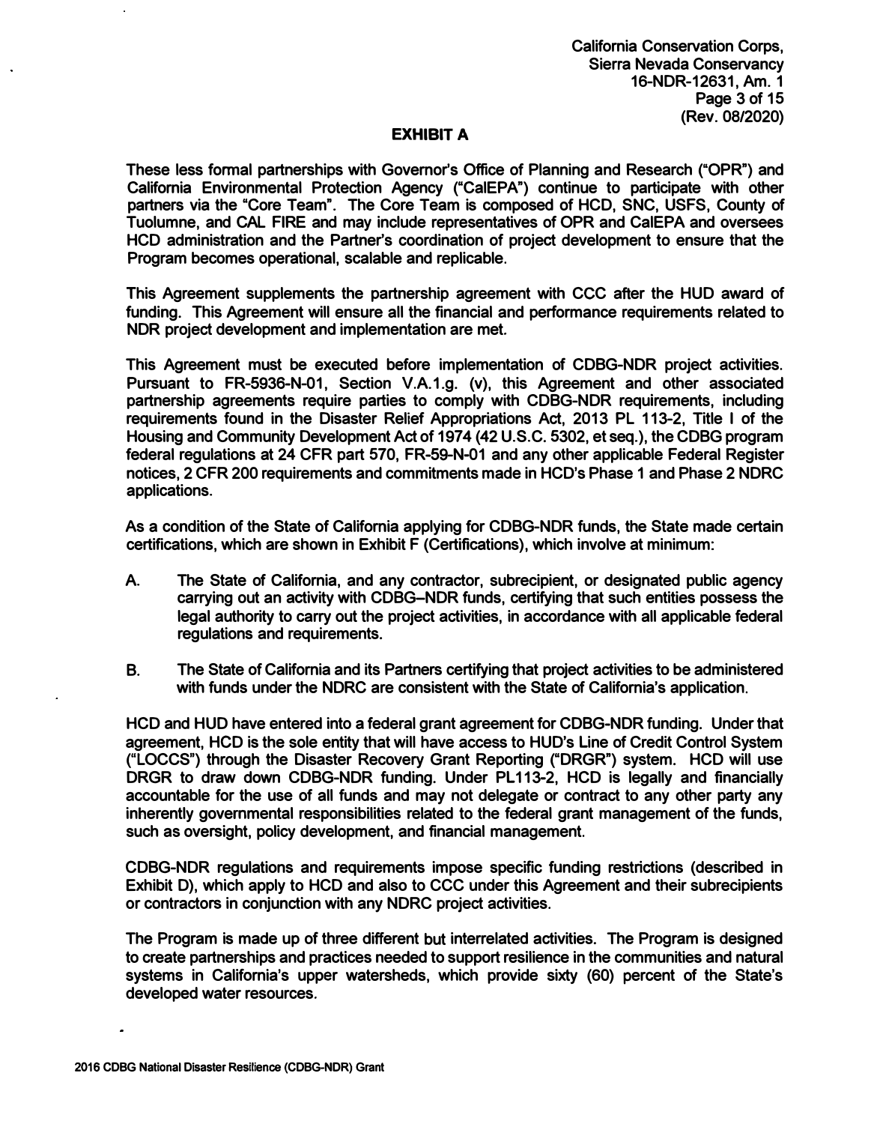**These less formal partnerships with Governor's Office of Planning and Research ("QPR") and California Environmental Protection Agency ("CalEPA") continue to participate with other partners via the "Core Team". The Core Team is composed of HCD, SNC, USFS, County of Tuolumne, and CAL FIRE and may include representatives of OPR and CalEPA and oversees HCD administration and the Partner's coordination of project development to ensure that the Program becomes operational, scalable and replicable.** 

**This Agreement supplements the partnership agreement with CCC after the HUD award of funding. This Agreement will ensure all the financial and performance requirements related to NDR project development and implementation are met.** 

**This Agreement must be executed before implementation of CDBG-NDR project activities. Pursuant to FR-5936-N-01, Section V.A.1.g. (v), this Agreement and other associated partnership agreements require parties to comply with CDBG-NDR requirements, including requirements found in the Disaster Relief Appropriations Act, 2013 PL 113-2, Title I of the Housing and Community Development Act of 1974 (42 U.S.C. 5302, et seq.), the CDBG program federal regulations at 24 CFR part 570, FR-59-N-01 and any other applicable Federal Register notices, 2 CFR 200 requirements and commitments made in HCD's Phase 1 and Phase 2 NDRC applications.** 

**As a condition of the State of California applying for CDBG-NDR funds, the State made certain certifications, which are shown in Exhibit F (Certifications), which involve at minimum:** 

- **A. The State of California, and any contractor, subrecipient, or designated public agency carrying out an activity with CDBG-NDR funds, certifying that such entities possess the legal authority to carry out the project activities, in accordance with all applicable federal regulations and requirements.**
- **B. The State of California and its Partners certifying that project activities to be administered with funds under the NDRC are consistent with the State of California's application.**

**HCD and HUD have entered into a federal grant agreement for CDBG-NDR funding. Under that agreement, HCD is the sole entity that will have access to HUD's Line of Credit Control System ("LOCCS") through the Disaster Recovery Grant Reporting ("DRGR") system. HCD will use**  DRGR to draw down CDBG-NDR funding. Under PL113-2, HCD is legally and financially **accountable for the use of all funds and may not delegate or contract to any other party any inherently governmental responsibilities related to the federal grant management of the funds, such as oversight, policy development, and financial management.** 

**CDBG-NDR regulations and requirements impose specific funding restrictions (described in Exhibit D), which apply to HCD and also to CCC under this Agreement and their subrecipients or contractors in conjunction with any NDRC project activities.** 

**The Program is made up of three different but interrelated activities. The Program is designed to create partnerships and practices needed to support resilience in the communities and natural systems in California's upper watersheds, which provide sixty (60) percent of the State's developed water resources.**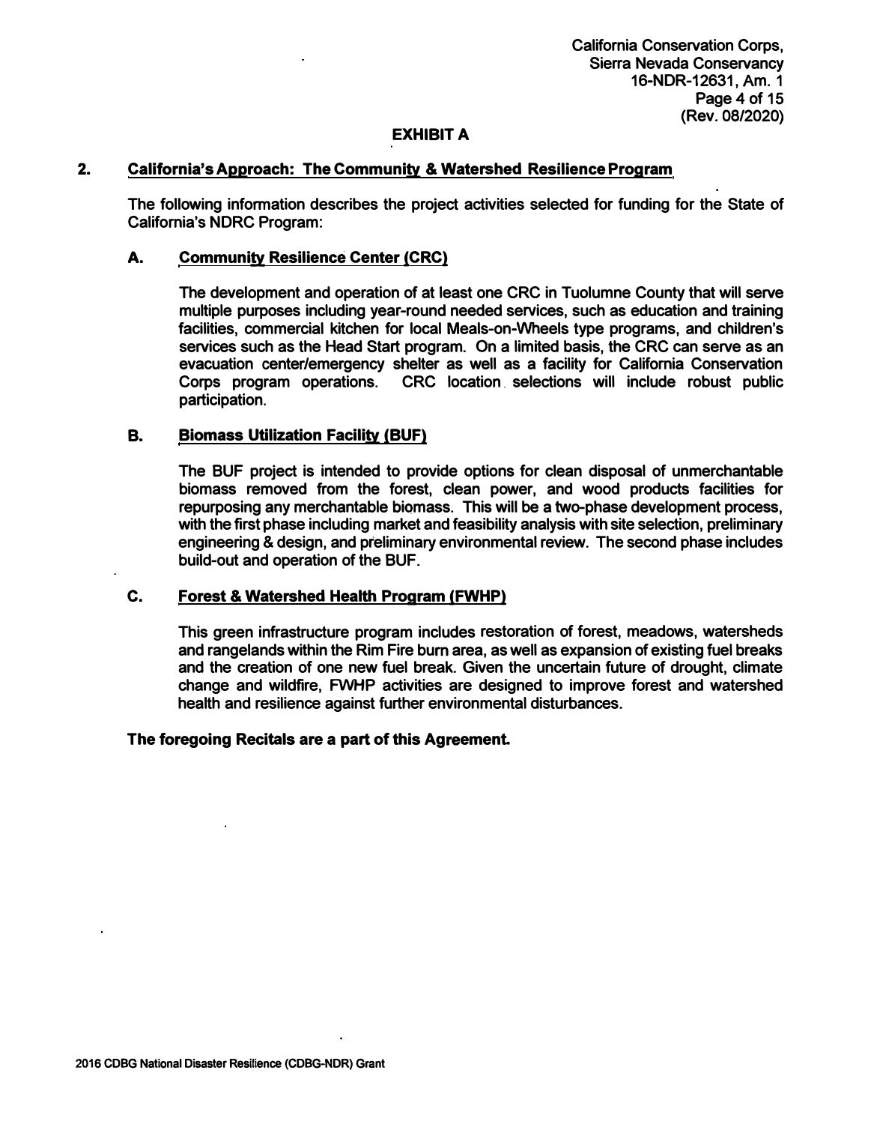**California Conservation Corps, Sierra Nevada Conservancy 16-NDR-12631, Am. 1 Page 4 of 15 (Rev. 08/2020)** 

## **EXHIBIT A**

### **2. California's Approach: The Community & Watershed Resilience Program**

**The following information describes the project activities selected for funding for the State of California's NDRC Program:**

### **A. Community Resilience Center {CRC)**

**The development and operation of at least one CRC in Tuolumne County that will serve multiple purposes including year-round needed services, such as education and training facilities, commercial kitchen for local Meals-on-Wheels type programs, and children's services such as the Head Start program. On a limited basis, the CRC can serve as an evacuation center/emergency shelter as well as a facility for California Conservation Corps program operations. CRC location . selections will include robust public participation.** 

### **B. Biomass Utilization Facility {BUF)**

**The BUF project is intended to provide options for clean disposal of unmerchantable biomass removed from the forest, clean power, and wood products facilities for repurposing any merchantable biomass. This will be a two-phase development process, with the first phase including market and feasibility analysis with site selection, preliminary engineering & design, and preliminary environmental review. The second phase includes build-out and operation of the BUF.** 

#### **C. Forest & Watershed Health Program {FWHP)**

**This green infrastructure program includes restoration of forest, meadows, watersheds and rangelands within the Rim Fire bum area, as well as expansion of existing fuel breaks and the creation of one new fuel break. Given the uncertain future of drought, climate change and wildfire, FWHP activities are designed to improve forest and watershed health and resilience against further environmental disturbances.** 

#### **The foregoing Recitals are a part of this Agreement**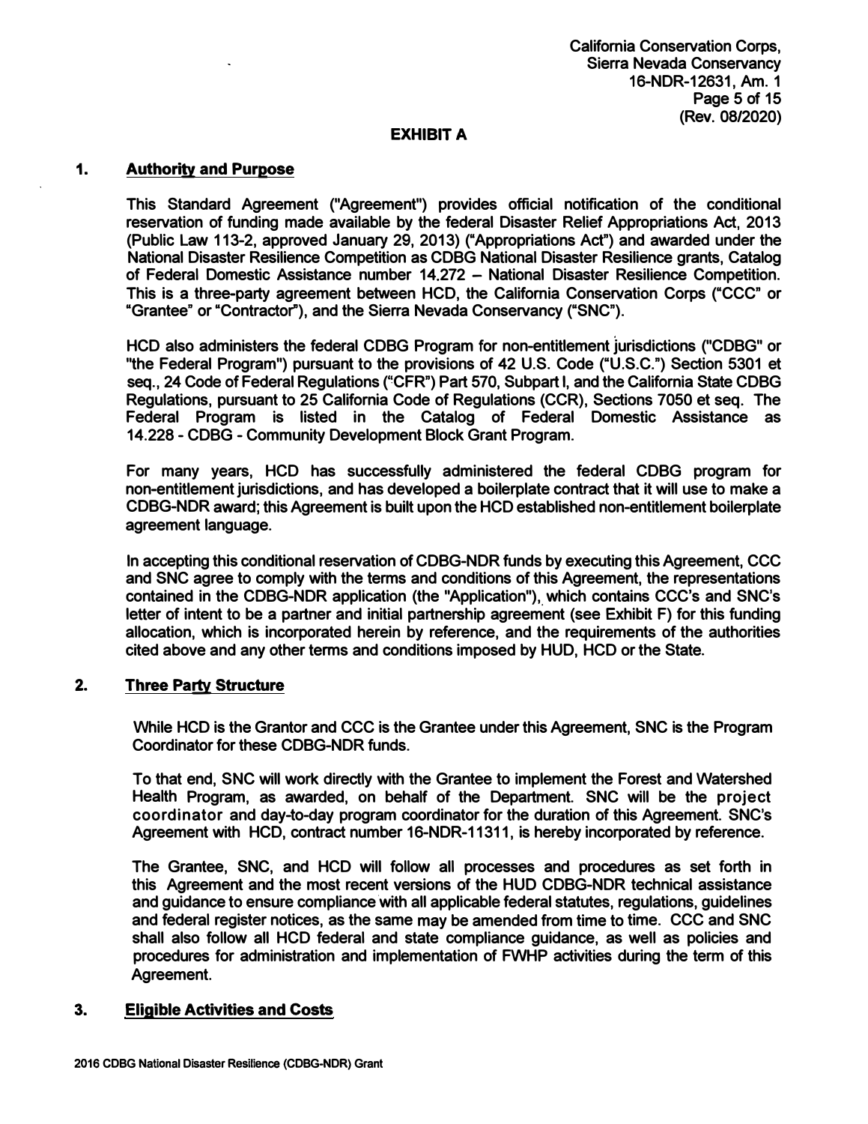### **1. Authority and Purpose**

**This Standard Agreement ("Agreement") provides official notification of the conditional reservation of funding made available by the federal Disaster Relief Appropriations Act, 2013 (Public Law 113-2, approved January 29, 2013) ("Appropriations Act") and awarded under the National Disaster Resilience Competition as CDBG National Disaster Resilience grants, Catalog of Federal Domestic Assistance number 14.272 - National Disaster Resilience Competition. This is a three-party agreement between HCD, the California Conservation Corps ("CCC" or "Grantee" or "Contractor"), and the Sierra Nevada Conservancy ("SNC").**

**HCD also administers the federal CDBG Program for non-entitlement jurisdictions ("CDBG" or "the Federal Program") pursuant to the provisions of 42 U.S. Code ("U.S.C.") Section 5301 et** seq., 24 Code of Federal Regulations ("CFR") Part 570, Subpart I, and the California State CDBG **Regulations, pursuant to 25 California Code of Regulations (CCR), Sections 7050 et seq. The Federal Program is listed in the Catalog of Federal Domestic Assistance as 14.228- CDBG - Community Development Block Grant Program.**

**For many years, HCD has successfully administered the federal CDBG program for non-entitlement jurisdictions, and has developed a boilerplate contract that it will use to make a CDBG-NDR award; this Agreement is built upon the HCD established non-entitlement boilerplate agreement language.**

**In accepting this conditional reservation of CDBG-NDR funds by executing this Agreement, CCC and SNC agree to comply with the terms and conditions of this Agreement, the representations** contained in the CDBG-NDR application (the "Application"), which contains CCC's and SNC's **letter of intent to be a partner and initial partnership agreement ( see Exhibit F) for this funding allocation, which is incorporated herein by reference, and the requirements of the authorities cited above and any other terms and conditions imposed by HUD, HCD or the State.**

### **2. Three Party Structure**

**While HCD is the Granter and CCC is the Grantee under this Agreement, SNC is the Program Coordinator for these CDBG-NDR funds.** 

**To that end, SNC will work directly with the Grantee to implement the Forest and Watershed Health Program, as awarded, on behalf of the Department. SNC will be the project coordinator and day-to-day program coordinator for the duration of this Agreement. SNC's Agreement with HCD, contract number 16-NDR-11311, is hereby incorporated by reference.** 

**The Grantee, SNC, and HCD will follow all processes and procedures as set forth in this Agreement and the most recent versions of the HUD CDBG-NDR technical assistance**  and guidance to ensure compliance with all applicable federal statutes, regulations, guidelines **and federal register notices, as the same may be amended from time to time. CCC and SNC shall also follow all HCD federal and state compliance guidance, as well as policies and procedures for administration and implementation of FWHP activities during the term of this Agreement.** 

### **3. Eligible Activities and Costs**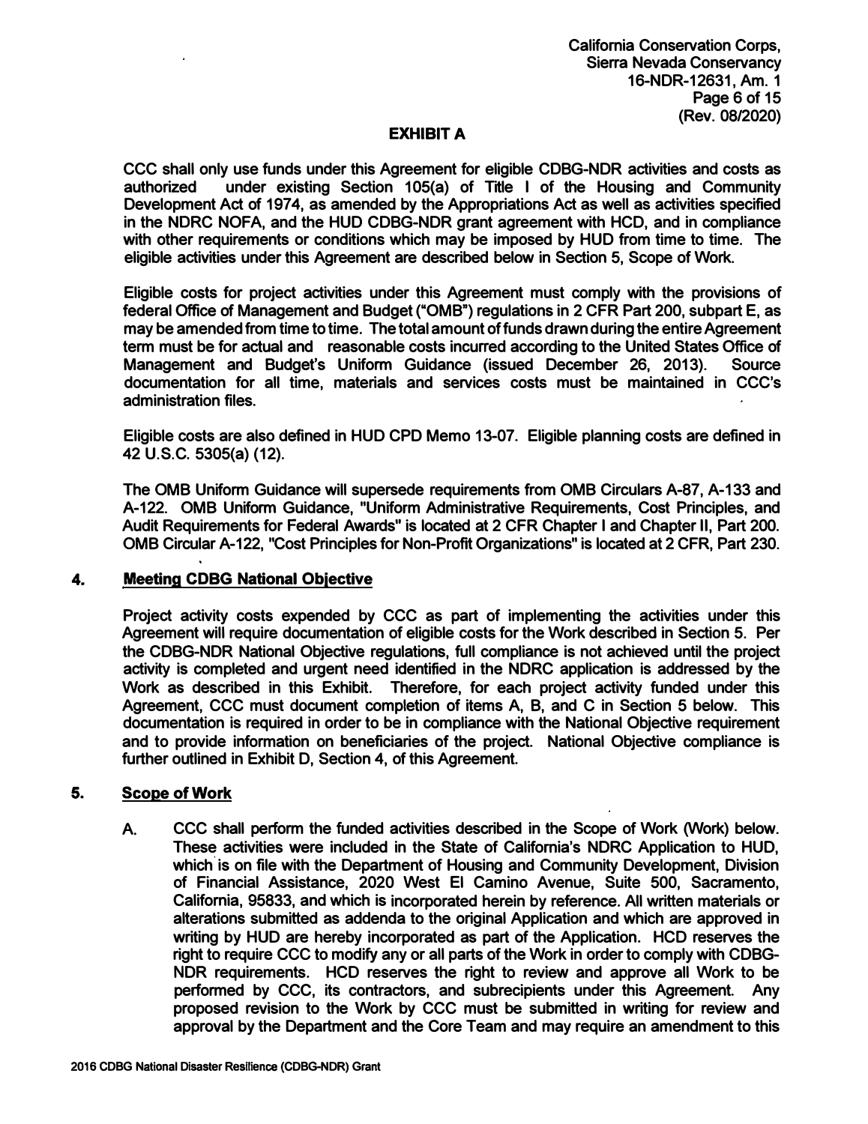**CCC shall only use funds under this Agreement for eligible CDBG-NDR activities and costs as**  under existing Section 105(a) of Title I of the Housing and Community Development Act of 1974, as amended by the Appropriations Act as well as activities specified **in the NDRC NOFA, and the HUD CDBG-NDR grant agreement with HCD, and in compliance with other requirements or conditions which may be imposed by HUD from time to time. The eligible activities under this Agreement are described below in Section 5, Scope of Work.** 

**Eligible costs for project activities under this Agreement must comply with the provisions of federal Office of Management and Budget ("OMB") regulations in 2 CFR Part 200, subpart E, as may be amended from time to time. The total amount of funds drawn during the entire Agreement term must be for actual and reasonable costs incurred according to the United States Office of Management and Budget's Uniform Guidance (issued December 26, 2013). Source documentation for all time, materials and services costs must be maintained in CCC's administration files.** 

**Eligible costs are also defined in HUD CPD Memo 13-07. Eligible planning costs are defined in 42 U.S.C. 5305(a) (12).** 

**The 0MB Uniform Guidance will supersede requirements from 0MB Circulars A-87, A-133 and A-122. 0MB Uniform Guidance, "Uniform Administrative Requirements, Cost Principles, and Audit Requirements for Federal Awards" is located at 2 CFR Chapter I and Chapter II, Part 200. 0MB Circular A-122, "Cost Principles for Non-Profit Organizations" is located at 2 CFR, Part 230.** 

#### **4. Meeting CDBG National Obiective**

**Project activity costs expended by CCC as part of implementing the activities under this Agreement will require documentation of eligible costs for the Work described in Section 5. Per the CDBG-NDR National Objective regulations, full compliance is not achieved until the project activity is completed and urgent need identified in the NDRC application is addressed by the Work as described in this Exhibit. Therefore, for each project activity funded under this Agreement, CCC must document completion of items A, B, and C in Section 5 below. This documentation is required in order to be in compliance with the National Objective requirement and to provide information on beneficiaries of the project. National Objective compliance is further outlined in Exhibit D, Section 4, of this Agreement.** 

### **5. Scope of Work**

**A. CCC shall perform the funded activities described in the Scope of Work (Work) below. These activities were included in the State of California's NDRC Application to HUD,** which is on file with the Department of Housing and Community Development, Division **of Financial Assistance, 2020 West El Camino Avenue, Suite 500, Sacramento, California, 95833, and which is incorporated herein by reference. All written materials or alterations submitted as addenda to the original Application and which are approved in writing by HUD are hereby incorporated as part of the Application. HCD reserves the right to require CCC to modify any or all parts of the Work in order to comply with CDBG-NDR requirements. HCD reserves the right to review and approve all Work to be performed by CCC, its contractors, and subrecipients under this Agreement. Any proposed revision to the Work by CCC must be submitted in writing for review and approval by the Department and the Core Team and may require an amendment to this**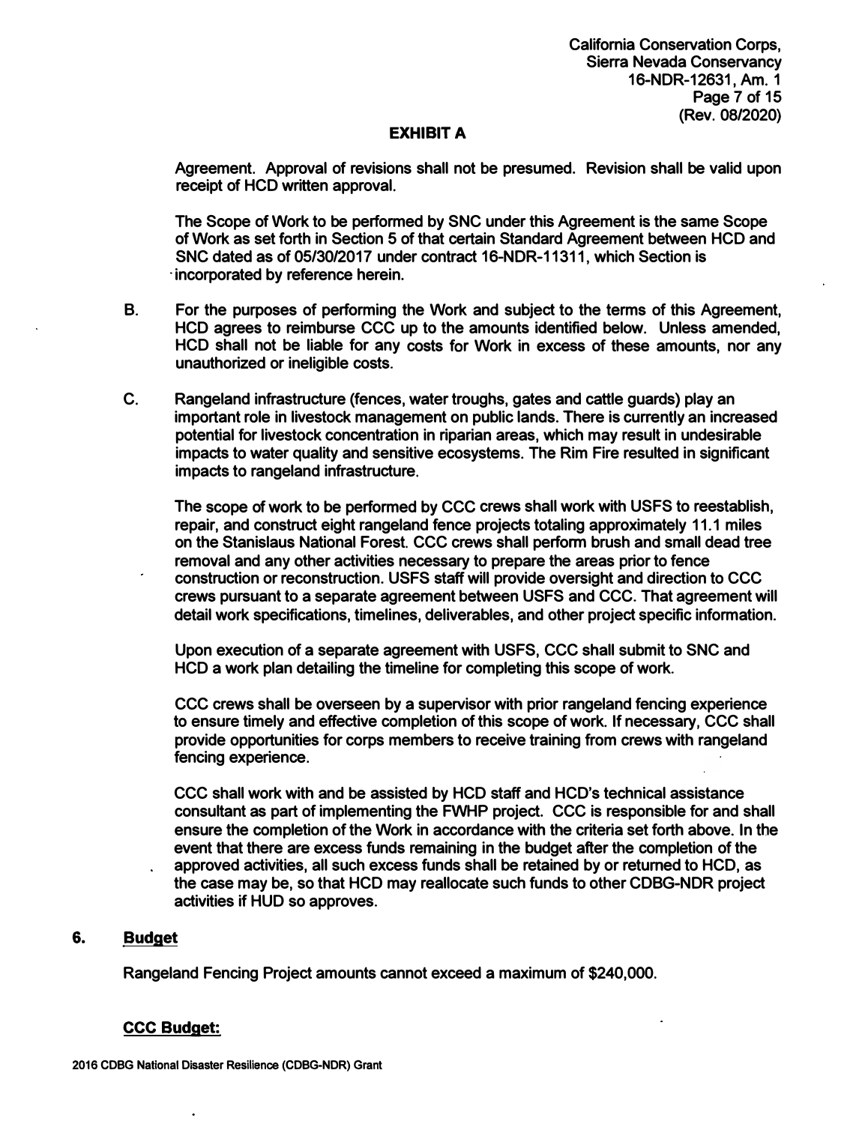**Agreement. Approval of revisions shall not be presumed. Revision shall be valid upon receipt of HCD written approval.** 

**The Scope of Work to be performed by SNC under this Agreement is the same Scope of Work as set forth in Section 5 of that certain Standard Agreement between HCD and SNC dated as of 05/30/2017 under contract 16-NDR-11311, which Section is · incorporated by reference herein.**

- **B. For the purposes of performing the Work and subject to the terms of this Agreement, HCD agrees to reimburse CCC up to the amounts identified below. Unless amended, HCD shall not be liable for any costs for Work in excess of these amounts, nor any unauthorized or ineligible costs.**
- **C. Rangeland infrastructure (fences, water troughs, gates and cattle guards} play an important role in livestock management on public lands. There is currently an increased potential for livestock concentration in riparian areas, which may result in undesirable impacts to water quality and sensitive ecosystems. The Rim Fire resulted in significant impacts to rangeland infrastructure.**

**The scope of work to be performed by CCC crews shall work with USFS to reestablish, repair, and construct eight rangeland fence projects totaling approximately 11.1 miles on the Stanislaus National Forest. CCC crews shall perform brush and small dead tree removal and any other activities necessary to prepare the areas prior to fence construction or reconstruction. USFS staff will provide oversight and direction to CCC crews pursuant to a separate agreement between USFS and CCC. That agreement will detail work specifications, timelines, deliverables, and other project specific information.** 

**Upon execution of a separate agreement with USFS, CCC shall submit to SNC and HCD a work plan detailing the timeline for completing this scope of work.** 

**CCC crews shall be overseen by a supervisor with prior rangeland fencing experience to ensure timely and effective completion of this scope of work. If necessary, CCC shall provide opportunities for corps members to receive training from crews with rangeland fencing experience.** 

**CCC shall work with and be assisted by HCD staff and HCD's technical assistance consultant as part of implementing the FWHP project. CCC is responsible for and shall ensure the completion of the Work in accordance with the criteria set forth above. In the event that there are excess funds remaining in the budget after the completion of the approved activities, all such excess funds shall be retained by or returned to HCD, as the case may be, so that HCD may reallocate such funds to other CDBG-NDR project activities if HUD so approves.** 

### **6. Budget**

**Rangeland Fencing Project amounts cannot exceed a maximum of \$240,000.** 

### **CCC Budget:**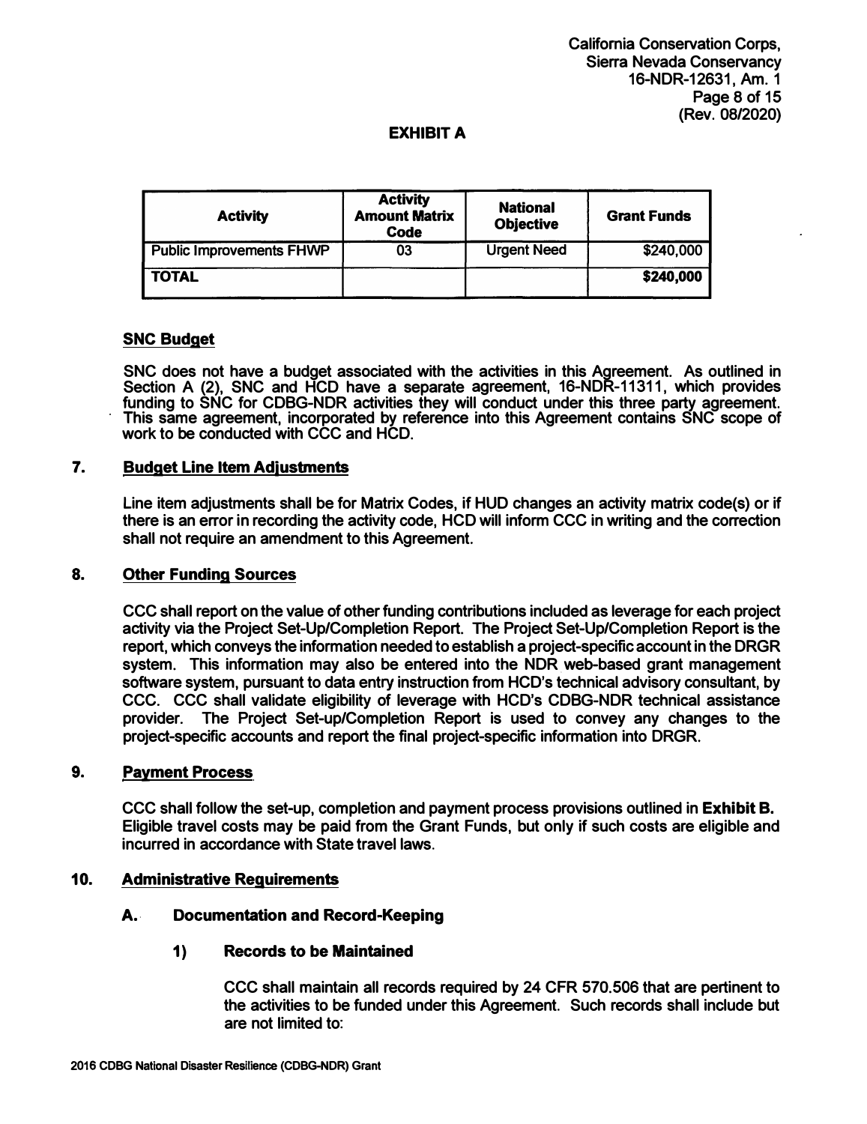| <b>Activity</b>                 | <b>Activity</b><br><b>Amount Matrix</b><br><b>Code</b> | <b>National</b><br><b>Objective</b> | <b>Grant Funds</b> |
|---------------------------------|--------------------------------------------------------|-------------------------------------|--------------------|
| <b>Public Improvements FHWP</b> | 03                                                     | <b>Urgent Need</b>                  | \$240,000          |
| <b>TOTAL</b>                    |                                                        |                                     | \$240,000          |

## **SNC Budget**

**SNC does not have a budget associated with the activities in this Agreement. As outlined in Section A (2), SNC and HCD have a separate agreement, 16-NDR-11311, which provides funding to SNC for CDBG-NDR activities they will conduct under this three party agreement. This same agreement, incorporated by reference into this Agreement contains SNC scope of work to be conducted with CCC and HCD.** 

### 7. **Budget Line Item Adiustrnents**

**Line item adjustments shall be for Matrix Codes, if HUD changes an activity matrix code(s) or if there is an error in recording the activity code, HCD will inform CCC in writing and the correction shall not require an amendment to this Agreement.** 

#### **8. Other Funding Sources**

**CCC shall report on the value of other funding contributions included as leverage for each project activity via the Project Set-Up/Completion Report. The Project Set-Up/Completion Report is the report, which conveys the information needed to establish a project-specific account in the DRGR system. This information may also be entered into the NDR. web-based grant management software system, pursuant to data entry instruction from HCD's technical advisory consultant, by CCC. CCC shall validate eligibility of leverage with HCD's CDBG-NDR technical assistance provider. The Project Set-up/Completion Report is used to convey any changes to the project-specific accounts and report the final project-specific information into DRGR.**

## **9. Payment Process**

**CCC shall follow the set-up, completion and payment process provisions outlined in Exhibit B. Eligible travel costs may be paid from the Grant Funds, but only if such costs are eligible and incurred in accordance with State travel laws.** 

#### **10. Administrative Requirements**

# **A.. Documentation and Record-Keeping**

### **1) Records to be Maintained**

**CCC shall maintain all records required by 24 CFR 570.506 that are pertinent to the activities to be funded under this Agreement. Such records shall include but are not limited to:**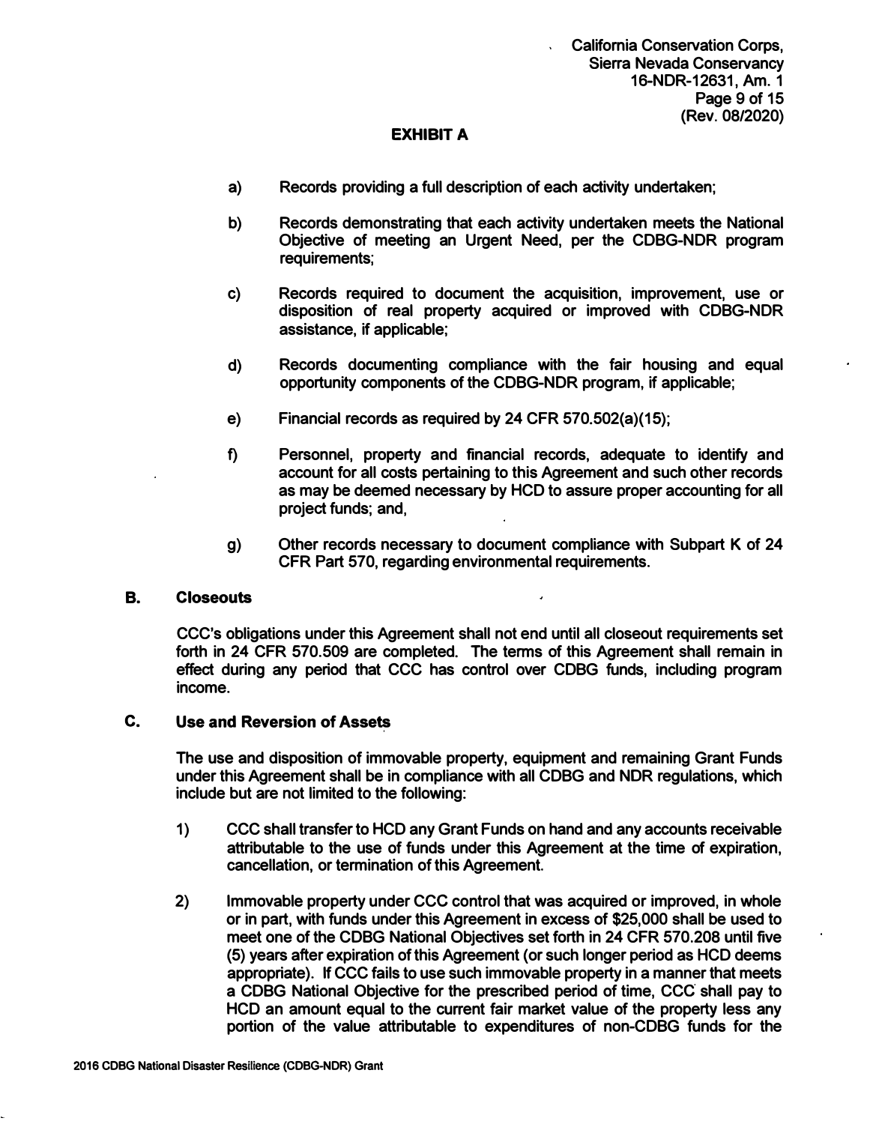- **a) Records providing a full description of each activity undertaken;**
- **b) Records demonstrating that each activity undertaken meets the National Objective of meeting an Urgent Need, per the CDBG-NDR program requirements;**
- **c) Records required to document the acquisition, improvement, use or disposition of real property acquired or improved with CDBG-NDR assistance, if applicable;**
- **d) Records documenting compliance with the fair housing and equal opportunity components of the CDBG-NDR program, if applicable;**
- **e) Financial records as required by 24 CFR 570.502(a)(15);**
- **f) Personnel, property and financial records, adequate to identify and account for all costs pertaining to this Agreement and such other records as may be deemed necessary by HCD to assure proper accounting for all project funds; and,**
- **g) Other records necessary to document compliance with Subpart K of 24 CFR Part 570, regarding environmental requirements.**

#### **B. Closeouts**

**CCC's obligations under this Agreement shall not end until all closeout requirements set forth in 24 CFR 570.509 are completed. The terms of this Agreement shall remain in effect during any period that CCC has control over CDBG funds, including program income.**

#### **C. Use and Reversion of Assets**

**The use and disposition of immovable property, equipment and remaining Grant Funds under this Agreement shall be in compliance with all CDBG and NOR regulations, which include but are not limited to the following:**

- **1) CCC shall transfer to HCD any Grant Funds on hand and any accounts receivable attributable to the use of funds under this Agreement at the time of expiration, cancellation, or termination of this Agreement.**
- **2) Immovable property under CCC control that was acquired or improved, in whole or in part, with funds under this Agreement in excess of \$25,000 shall be used to meet one of the CDBG National Objectives set forth in 24 CFR 570.208 until five (5) years after expiration of this Agreement ( or such longer period as HCD deems appropriate). If CCC fails to use such immovable property in a manner that meets a CDBG National Objective for the prescribed period of time,** *CCC* **shall pay to HCD an amount equal to the current fair market value of the property less any portion of the value attributable to expenditures of non-CDBG funds for the**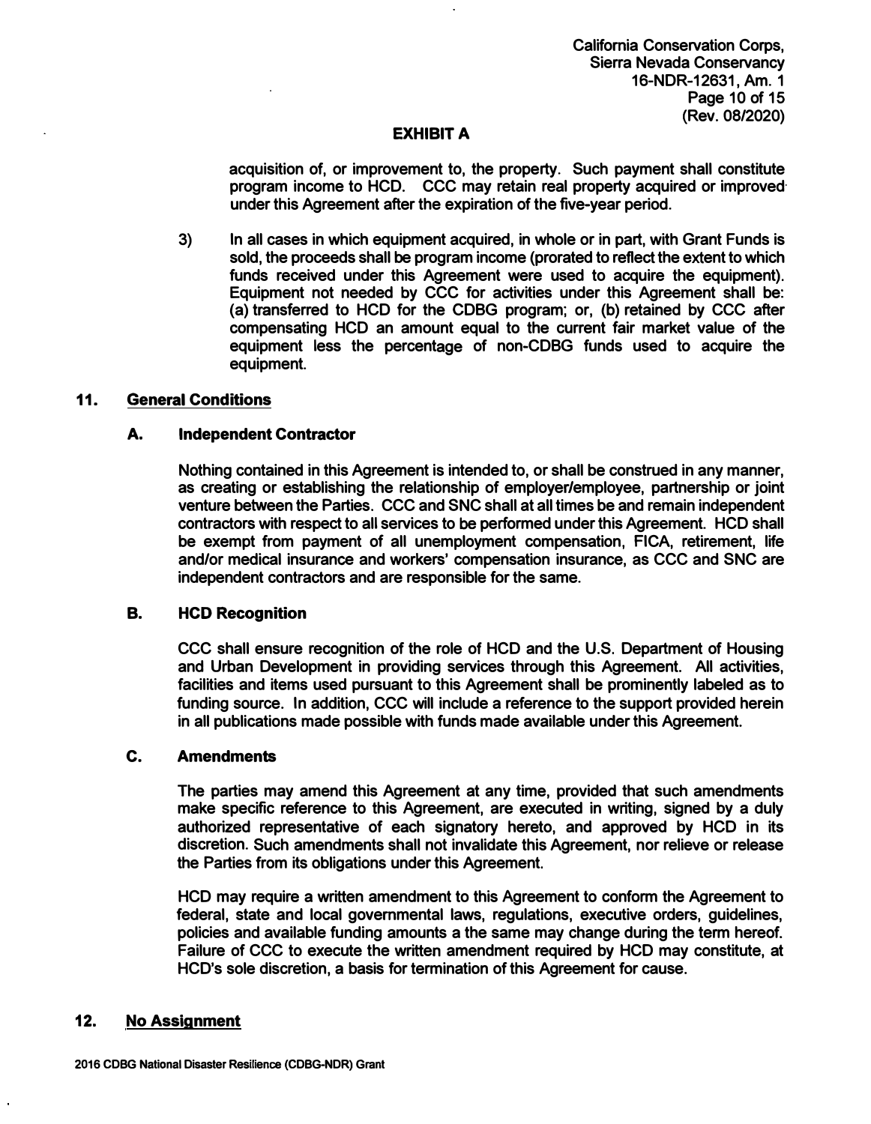**California Conservation Corps, Sierra Nevada Conservancy 16-NDR-12631, Am. 1 Page 10 of 15 (Rev. 08/2020)** 

### **EXHIBIT A**

**acquisition of, or improvement to, the property. Such payment shall constitute program income to HCD. CCC may retain real property acquired or improved· under this Agreement after the expiration of the five-year period.** 

**3) In all cases in which equipment acquired, in whole or in part, with Grant Funds is sold, the proceeds shall be program income (prorated to reflect the extent to which funds received under this Agreement were used to acquire the equipment). Equipment not needed by CCC for activities under this Agreement shall be: (a) transferred to HCD for the CDBG program; or, (b) retained by CCC after compensating HCD an amount equal to the current fair market value of the equipment less the percentage of non-CDBG funds used to acquire the equipment.**

#### **11. General Conditions**

#### **A. Independent Contractor**

**Nothing contained in this Agreement is intended to, or shall be construed in any manner, as creating or establishing the relationship of employer/employee, partnership or joint venture between the Parties. CCC and SNC shall at all times be and remain independent contractors with respect to all services to be performed under this Agreement. HCD shall be exempt from payment of all unemployment compensation, FICA, retirement, life and/or medical insurance and workers' compensation insurance, as CCC and SNC are independent contractors and are responsible for the same.** 

#### **B. HCD Recognition**

**CCC shall ensure recognition of the role of HCD and the U.S. Department of Housing and Urban Development in providing services through this Agreement. All activities, facilities and items used pursuant to this Agreement shall be prominently labeled as to funding source. In addition, CCC will include a reference to the support provided herein in all publications made possible with funds made available under this Agreement.** 

#### **C. Amendments**

**The parties may amend this Agreement at any time, provided that such amendments make specific reference to this Agreement, are executed in writing, signed by a duly authorized representative of each signatory hereto, and approved by HCD in its discretion. Such amendments shall not invalidate this Agreement, nor relieve or release the Parties from its obligations under this Agreement.** 

**HCD may require a written amendment to this Agreement to conform the Agreement to federal, state and local governmental laws, regulations, executive orders, guidelines, policies and available funding amounts a the same may change during the term hereof. Failure of CCC to execute the written amendment required by HCD may constitute, at HCD's sole discretion, a basis for termination of this Agreement for cause.** 

#### **12. No Assignment**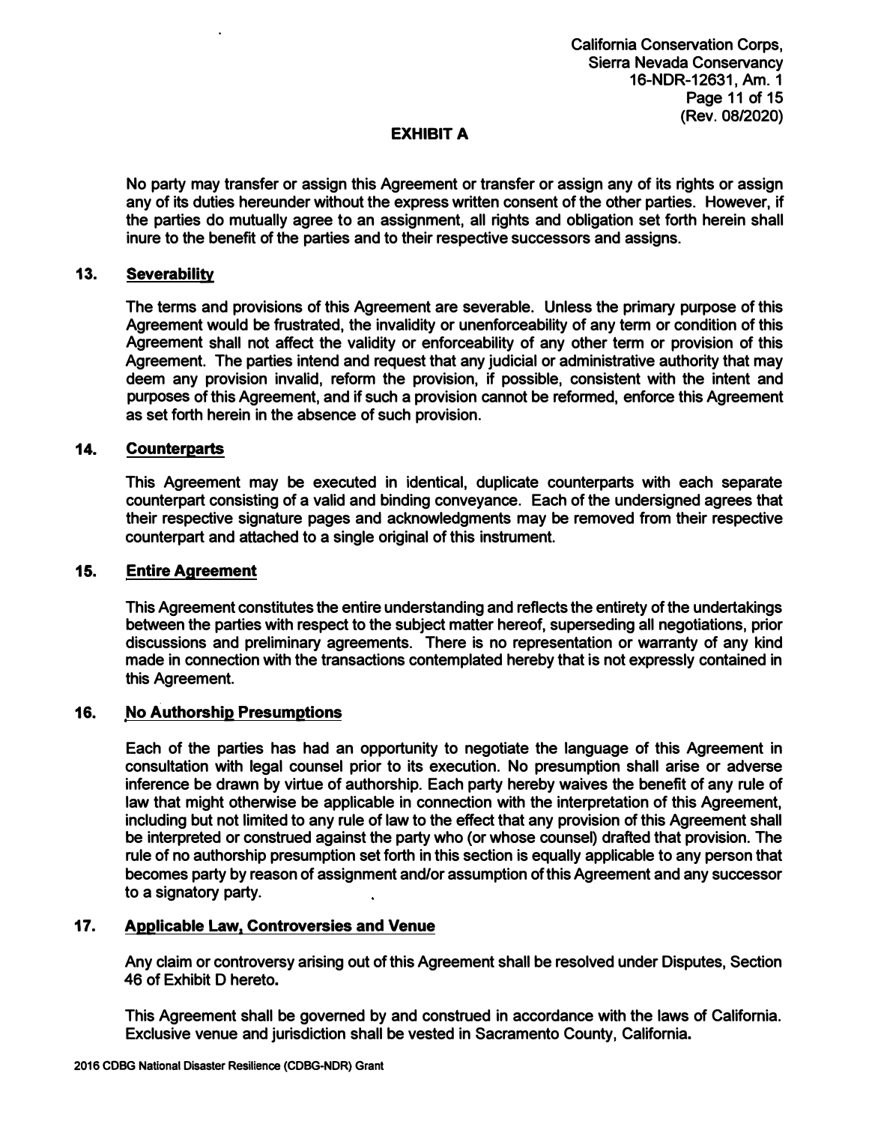**No party may transfer or assign this Agreement or transfer or assign any of its rights or assign any of its duties hereunder without the express written consent of the other parties. However, if the parties do mutually agree to an assignment, all rights and obligation set forth herein shall inure to the benefit of the parties and to their respective successors and assigns.** 

### **13. Severability**

**The terms and provisions of this Agreement are severable. Unless the primary purpose of this Agreement would be frustrated, the invalidity or unenforceability of any term or condition of this Agreement shall not affect the validity or enforceability of any other term or provision of this Agreement. The parties intend and request that any judicial or administrative authority that may deem any provision invalid, reform the provision, if possible, consistent with the intent and purposes of this Agreement, and if such a provision cannot be reformed, enforce this Agreement as set forth herein in the absence of such provision.**

### **14. Counterparts**

**This Agreement may be executed in identical, duplicate counterparts with each separate counterpart consisting of a valid and binding conveyance. Each of the undersigned agrees that their respective signature pages and acknowledgments may be removed from their respective counterpart and attached to a single original of this instrument.**

#### **15. Entire Agreement**

**This Agreement constitutes the entire understanding and reflects the entirety of the undertakings between the parties with respect to the subject matter hereof, superseding all negotiations, prior discussions and preliminary agreements. There is no representation or warranty of any kind made in connection with the transactions contemplated hereby that is not expressly contained in this Agreement.**

#### **16. No Authorship Presumptions**

**Each of the parties has had an opportunity to negotiate the language of this Agreement in consultation with legal counsel prior to its execution. No presumption shall arise or adverse inference be drawn by virtue of authorship. Each party hereby waives the benefit of any rule of law that might otherwise be applicable in connection with the interpretation of this Agreement, including but not limited to any rule of law to the effect that any provision of this Agreement shall be interpreted or construed against the party who ( or whose counsel) drafted that provision. The rule of no authorship presumption set forth in this section is equally applicable to any person that becomes party by reason of assignment and/or assumption of this Agreement and any successor to a signatory party.**

#### **17. Applicable Law, Controversies and Venue**

**Any claim or controversy arising out of this Agreement shall be resolved under Disputes, Section 46 of Exhibit D hereto.**

**This Agreement shall be governed by and construed in accordance with the laws of California. Exclusive venue and jurisdiction shall be vested in Sacramento County, California.**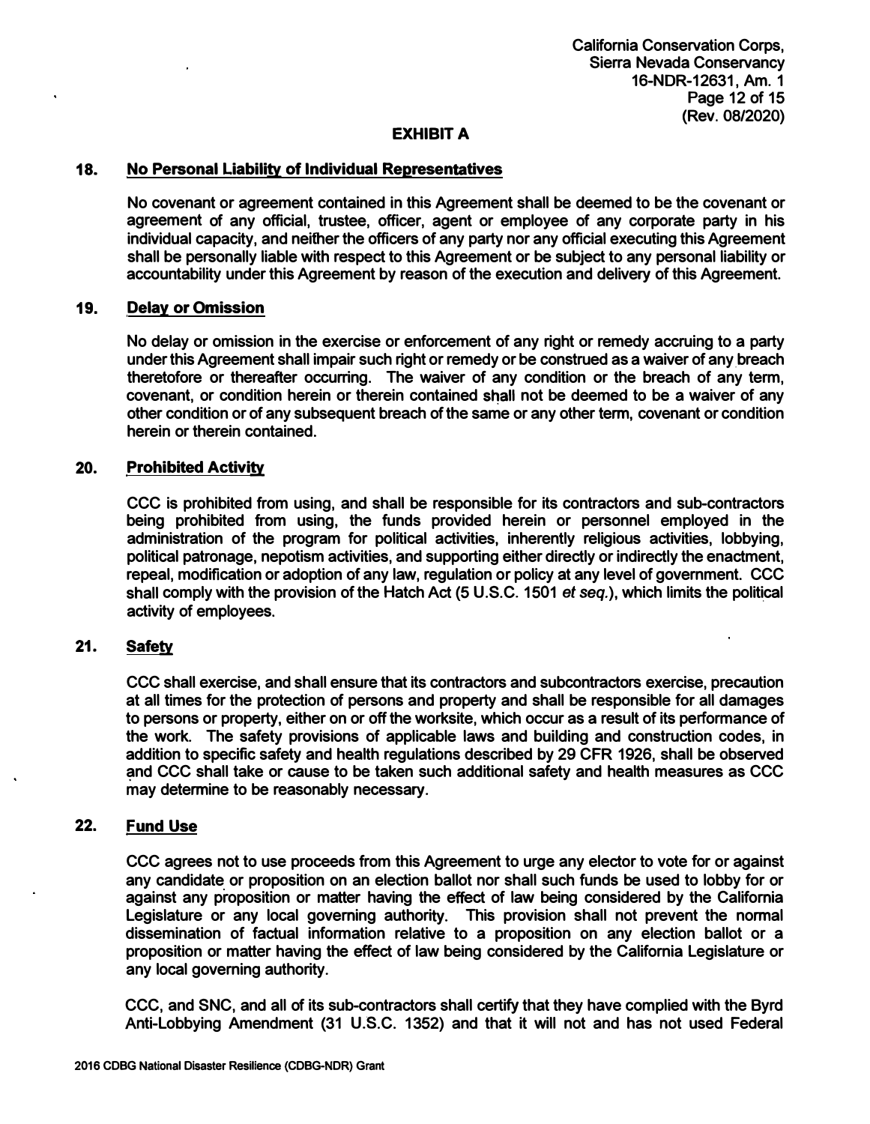### **18. No Personal Liability of Individual Representatives**

**No covenant or agreement contained in this Agreement shall be deemed to be the covenant or agreement of any official, trustee, officer, agent or employee of any corporate party in his individual capacity, and neither the officers of any party nor any official executing this Agreement shall be personally liable with respect to this Agreement or be subject to any personal liability or accountability under this Agreement by reason of the execution and delivery of this Agreement.** 

#### **19. Delay or Omission**

**No delay or omission in the exercise or enforcement of any right or remedy accruing to a party**  under this Agreement shall impair such right or remedy or be construed as a waiver of any breach **theretofore or thereafter occurring. The waiver of any condition or the breach of any term,**  covenant, or condition herein or therein contained shall not be deemed to be a waiver of any **other condition or of any subsequent breach of the same or any other term, covenant or condition herein or therein contained.** 

#### **20. Prohibited Activity**

**CCC is prohibited from using, and shall be responsible for its contractors and sub-contractors being prohibited from using, the funds provided herein or personnel employed in the administration of the program for political activities, inherently religious activities, lobbying, political patronage, nepotism activities, and supporting either directly or indirectly the enactment, repeal, modification or adoption of any law, regulation or policy at any level of government. CCC**  shall comply with the provision of the Hatch Act (5 U.S.C. 1501 *et seq.*), which limits the political **activity of employees.** 

#### **21. Safety**

**CCC shall exercise, and shall ensure that its contractors and subcontractors exercise, precaution at all times for the protection of persons and property and shall be responsible for all damages to persons or property, either on or off the worksite, which occur as a result of its performance of the work. The safety provisions of applicable laws and building and construction codes, in addition to specific safety and health regulations described by 29 CFR 1926, shall be observed and CCC shall take or cause to be taken such additional safety and health measures as CCC may determine to be reasonably necessary.** 

### **22. Fund Use**

**CCC agrees not to use proceeds from this Agreement to urge any elector to vote for or against any candidate or proposition on an election ballot nor shall such funds be used to lobby for or against any proposition or matter having the effect of law being considered by the California Legislature or any local governing authority. This provision shall not prevent the normal dissemination of factual information relative to a proposition on any election ballot or a proposition or matter having the effect of law being considered by the California Legislature or any local governing authority.**

**CCC, and SNC, and all of its sub-contractors shall certify that they have complied with the Byrd Anti-Lobbying Amendment (31 U.S.C. 1352) and that it will not and has not used Federal**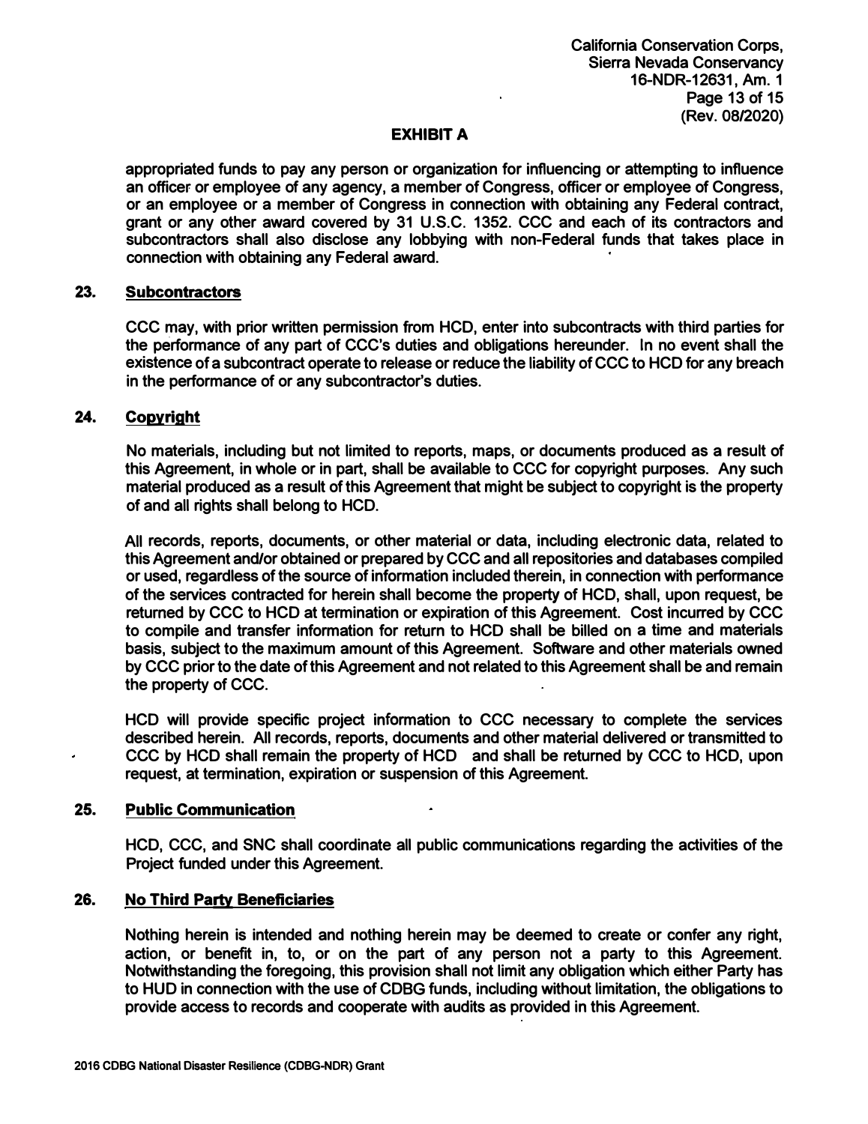**appropriated funds to pay any person or organization for influencing or attempting to influence an officer or employee of any agency, a member of Congress, officer or employee of Congress, or an employee or a member of Congress in connection with obtaining any Federal contract, grant or any other award covered by 31 U.S.C. 1352. CCC and each of its contractors and subcontractors shall also disclose any lobbying with non-Federal funds that takes place in connection with obtaining any Federal award.** 

#### **23. Subcontractors**

**CCC may, with prior written permission from HCD, enter into subcontracts with third parties for the performance of any part of CCC's duties and obligations hereunder. In no event shall the existence of a subcontract operate to release or reduce the liability of CCC to HCD for any breach in the performance of or any subcontractor's duties.**

### **24. Copyright**

**No materials, including but not limited to reports, maps, or documents produced as a result of this Agreement, in whole or in part, shall be available to CCC for copyright purposes. Any such material produced as a result of this Agreement that might be subject to copyright is the property of and all rights shall belong to HCD.**

**All records, reports, documents, or other material or data, including electronic data, related to this Agreement and/or obtained or prepared by CCC and all repositories and databases compiled or used, regardless of the source of information included therein, in connection with performance of the services contracted for herein shall become the property of HCD, shall, upon request, be returned by CCC to HCD at termination or expiration of this Agreement. Cost incurred by CCC to compile and transfer information for return to HCD shall be billed on a time and materials basis, subject to the maximum amount of this Agreement. Software and other materials owned by CCC prior to the date of this Agreement and not related to this Agreement shall be and remain the property of CCC.**

**HCD will provide specific project information to CCC necessary to complete the services described herein. All records, reports, documents and other material delivered or transmitted to CCC by HCD shall remain the property of HCD and shall be returned by CCC to HCD, upon request, at termination, expiration or suspension of this Agreement.**

#### **25. Public Communication**

**HCD, CCC, and SNC shall coordinate all public communications regarding the activities of the Project funded under this Agreement.**

#### **26. No Third Party Beneficiaries**

**Nothing herein is intended and nothing herein may be deemed to create or confer any right, action, or benefit in, to, or on the part of any person not a party to this Agreement. Notwithstanding the foregoing, this provision shall not limit any obligation which either Party has to HUD in connection with the use of CDBG funds, including without limitation, the obligations to provide access to records and cooperate with audits as provided in this Agreement.**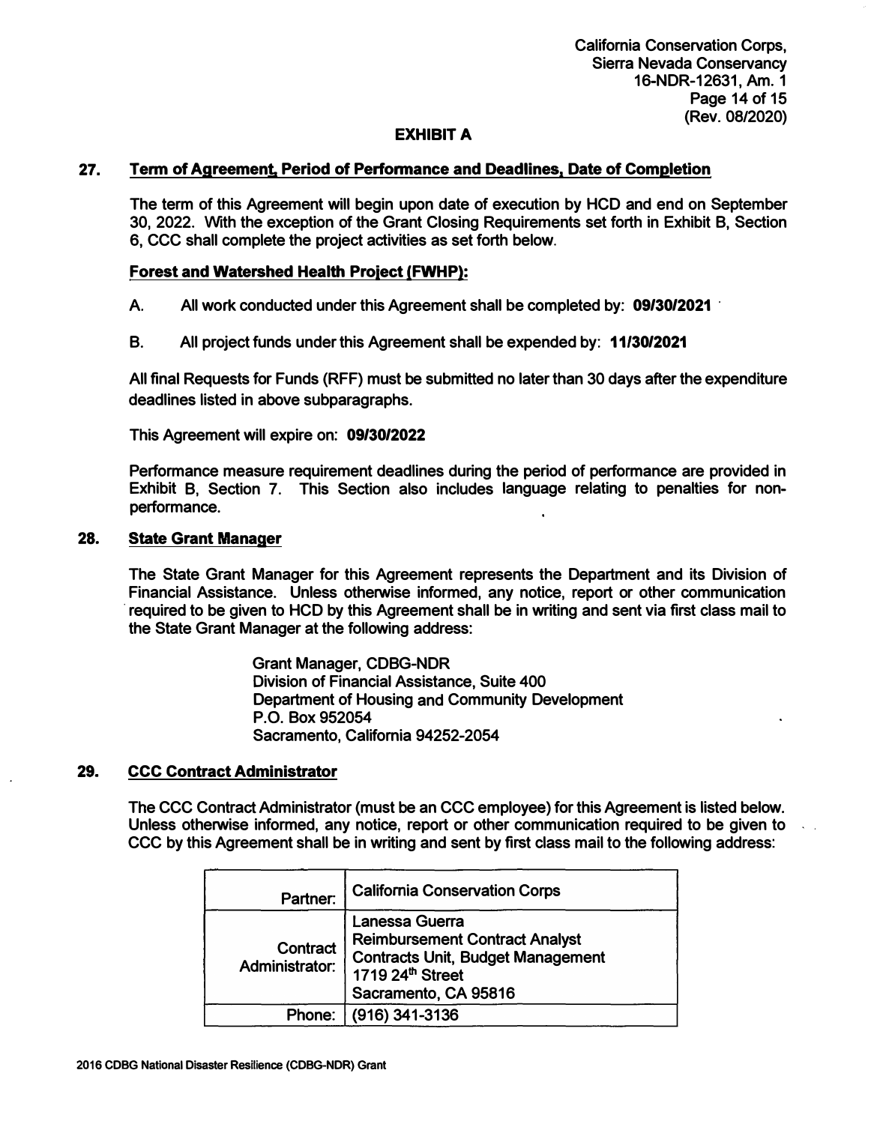**California Conservation Corps, Sierra Nevada Conservancy 16-NDR-12631, Am. 1 Page 14 of 15 (Rev. 08/2020)** 

### **EXHIBIT A**

### **27. Term of Agreement Period of Perfonnance and Deadlines, Date of Completion**

**The term of this Agreement will begin upon date of execution by HCD and end on September 30, 2022. With the exception of the Grant Closing Requirements set forth in Exhibit B, Section 6, CCC shall complete the project activities as set forth below.** 

### **Forest and Watershed Health Proiect (FWHP):**

**A. All work conducted under this Agreement shall be completed by: 09/30/2021 ·**

**B. All project funds under this Agreement shall be expended by: 11/30/2021**

**All final Requests for Funds (RFF) must be submitted no later than 30 days after the expenditure deadlines listed in above subparagraphs.** 

**This Agreement will expire on: 09/30/2022**

**Performance measure requirement deadlines during the period of performance are provided in Exhibit B, Section 7. This Section also includes language relating to penalties for nonperformance.** 

#### **28. State Grant Manager**

**The State Grant Manager for this Agreement represents the Department and its Division of Financial Assistance. Unless otherwise informed, any notice, report or other communication · required to be given to HCD by this Agreement shall be in writing and sent via first class mail to the State Grant Manager at the following address:**

> **Grant Manager, CDBG-NDR Division of Financial Assistance, Suite 400 Department of Housing and Community Development P.O. Box 952054 Sacramento, California 94252-2054**

#### **29. CCC Contract Administrator**

**The CCC Contract Administrator (must be an CCC employee) for this Agreement is listed below. Unless otherwise informed, any notice, report or other communication required to be given to CCC by this Agreement shall be in writing and sent by first class mail to the following address:** 

| Partner:                   | <b>California Conservation Corps</b>                                                                                                                        |
|----------------------------|-------------------------------------------------------------------------------------------------------------------------------------------------------------|
| Contract<br>Administrator: | Lanessa Guerra<br><b>Reimbursement Contract Analyst</b><br><b>Contracts Unit, Budget Management</b><br>1719 24 <sup>th</sup> Street<br>Sacramento, CA 95816 |
| Phone:                     | (916) 341-3136                                                                                                                                              |